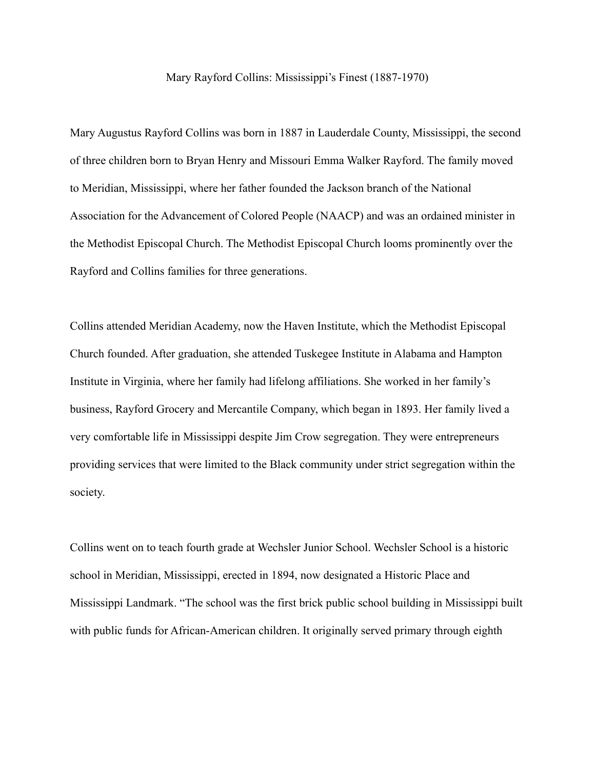Mary Rayford Collins: Mississippi's Finest (1887-1970)

Mary Augustus Rayford Collins was born in 1887 in Lauderdale County, Mississippi, the second of three children born to Bryan Henry and Missouri Emma Walker Rayford. The family moved to Meridian, Mississippi, where her father founded the Jackson branch of the National Association for the Advancement of Colored People (NAACP) and was an ordained minister in the Methodist Episcopal Church. The Methodist Episcopal Church looms prominently over the Rayford and Collins families for three generations.

Collins attended Meridian Academy, now the Haven Institute, which the Methodist Episcopal Church founded. After graduation, she attended Tuskegee Institute in Alabama and Hampton Institute in Virginia, where her family had lifelong affiliations. She worked in her family's business, Rayford Grocery and Mercantile Company, which began in 1893. Her family lived a very comfortable life in Mississippi despite Jim Crow segregation. They were entrepreneurs providing services that were limited to the Black community under strict segregation within the society.

Collins went on to teach fourth grade at Wechsler Junior School. Wechsler School is a historic school in Meridian, Mississippi, erected in 1894, now designated a Historic Place and Mississippi Landmark. "The school was the first brick public school building in Mississippi built with public funds for African-American children. It originally served primary through eighth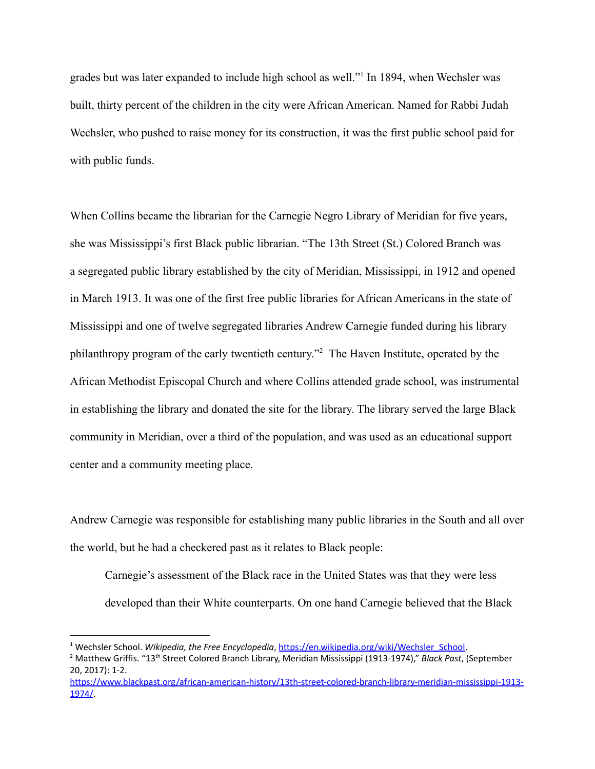grades but was later expanded to include high school as well."<sup>1</sup> In 1894, when Wechsler was built, thirty percent of the children in the city were African American. Named for Rabbi Judah Wechsler, who pushed to raise money for its construction, it was the first public school paid for with public funds.

When Collins became the librarian for the Carnegie Negro Library of Meridian for five years, she was Mississippi's first Black public librarian. "The 13th Street (St.) Colored Branch was a segregated public library established by the city of Meridian, Mississippi, in 1912 and opened in March 1913. It was one of the first free public libraries for African Americans in the state of Mississippi and one of twelve segregated libraries Andrew Carnegie funded during his library philanthropy program of the early twentieth century.<sup> $2$ </sup> The Haven Institute, operated by the African Methodist Episcopal Church and where Collins attended grade school, was instrumental in establishing the library and donated the site for the library. The library served the large Black community in Meridian, over a third of the population, and was used as an educational support center and a community meeting place.

Andrew Carnegie was responsible for establishing many public libraries in the South and all over the world, but he had a checkered past as it relates to Black people:

Carnegie's assessment of the Black race in the United States was that they were less developed than their White counterparts. On one hand Carnegie believed that the Black

<sup>1</sup> Wechsler School. *Wikipedia, the Free Encyclopedia*, [https://en.wikipedia.org/wiki/Wechsler\\_School.](https://en.wikipedia.org/wiki/Wechsler_School)

<sup>&</sup>lt;sup>2</sup> Matthew Griffis. "13<sup>th</sup> Street Colored Branch Library, Meridian Mississippi (1913-1974)," *Black Past*, (September 20, 2017): 1-2.

[https://www.blackpast.org/african-american-history/13th-street-colored-branch-library-meridian-mississippi-1913-](https://www.blackpast.org/african-american-history/13th-street-colored-branch-library-meridian-mississippi-1913-1974/) [1974/](https://www.blackpast.org/african-american-history/13th-street-colored-branch-library-meridian-mississippi-1913-1974/).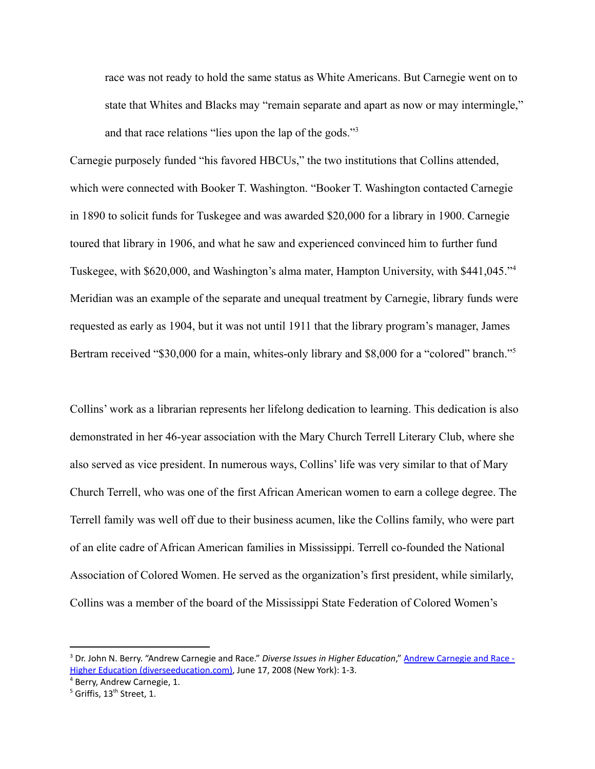race was not ready to hold the same status as White Americans. But Carnegie went on to state that Whites and Blacks may "remain separate and apart as now or may intermingle," and that race relations "lies upon the lap of the gods."<sup>3</sup>

Carnegie purposely funded "his favored HBCUs," the two institutions that Collins attended, which were connected with Booker T. Washington. "Booker T. Washington contacted Carnegie in 1890 to solicit funds for Tuskegee and was awarded \$20,000 for a library in 1900. Carnegie toured that library in 1906, and what he saw and experienced convinced him to further fund Tuskegee, with \$620,000, and Washington's alma mater, Hampton University, with \$441,045."<sup>4</sup> Meridian was an example of the separate and unequal treatment by Carnegie, library funds were requested as early as 1904, but it was not until 1911 that the library program's manager, James Bertram received "\$30,000 for a main, whites-only library and \$8,000 for a "colored" branch."<sup>5</sup>

Collins' work as a librarian represents her lifelong dedication to learning. This dedication is also demonstrated in her 46-year association with the Mary Church Terrell Literary Club, where she also served as vice president. In numerous ways, Collins' life was very similar to that of Mary Church Terrell, who was one of the first African American women to earn a college degree. The Terrell family was well off due to their business acumen, like the Collins family, who were part of an elite cadre of African American families in Mississippi. Terrell co-founded the National Association of Colored Women. He served as the organization's first president, while similarly, Collins was a member of the board of the Mississippi State Federation of Colored Women's

<sup>3</sup> Dr. John N. Berry. "Andrew Carnegie and Race." *Diverse Issues in Higher Education*," Andrew [Carnegie](https://diverseeducation.com/article/11301/) and Race - Higher Education [\(diverseeducation.com\)](https://diverseeducation.com/article/11301/), June 17, 2008 (New York): 1-3.

<sup>4</sup> Berry, Andrew Carnegie, 1.

 $^5$  Griffis, 13<sup>th</sup> Street, 1.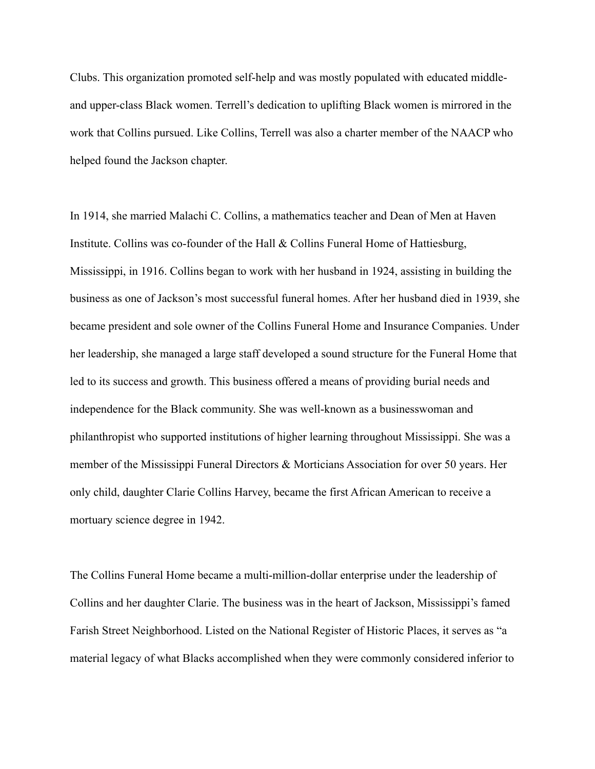Clubs. This organization promoted self-help and was mostly populated with educated middleand upper-class Black women. Terrell's dedication to uplifting Black women is mirrored in the work that Collins pursued. Like Collins, Terrell was also a charter member of the NAACP who helped found the Jackson chapter.

In 1914, she married Malachi C. Collins, a mathematics teacher and Dean of Men at Haven Institute. Collins was co-founder of the Hall & Collins Funeral Home of Hattiesburg, Mississippi, in 1916. Collins began to work with her husband in 1924, assisting in building the business as one of Jackson's most successful funeral homes. After her husband died in 1939, she became president and sole owner of the Collins Funeral Home and Insurance Companies. Under her leadership, she managed a large staff developed a sound structure for the Funeral Home that led to its success and growth. This business offered a means of providing burial needs and independence for the Black community. She was well-known as a businesswoman and philanthropist who supported institutions of higher learning throughout Mississippi. She was a member of the Mississippi Funeral Directors & Morticians Association for over 50 years. Her only child, daughter Clarie Collins Harvey, became the first African American to receive a mortuary science degree in 1942.

The Collins Funeral Home became a multi-million-dollar enterprise under the leadership of Collins and her daughter Clarie. The business was in the heart of Jackson, Mississippi's famed Farish Street Neighborhood. Listed on the National Register of Historic Places, it serves as "a material legacy of what Blacks accomplished when they were commonly considered inferior to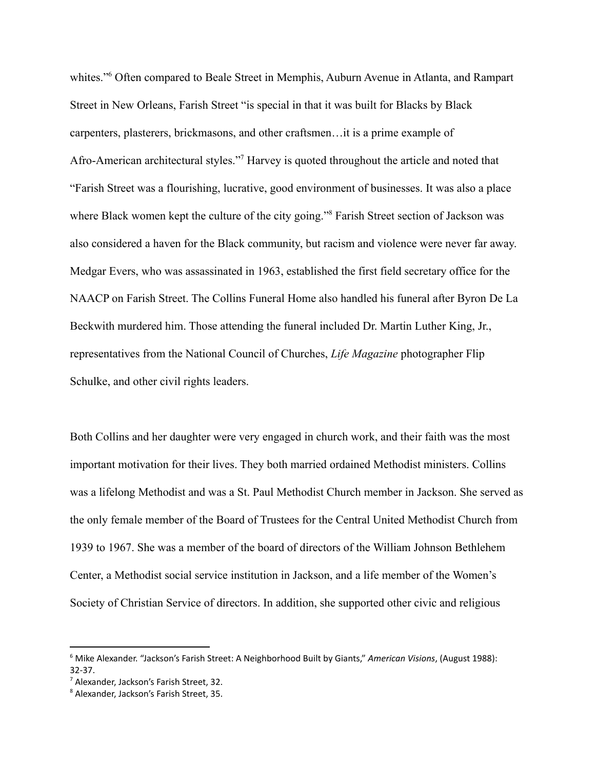whites."<sup>6</sup> Often compared to Beale Street in Memphis, Auburn Avenue in Atlanta, and Rampart Street in New Orleans, Farish Street "is special in that it was built for Blacks by Black carpenters, plasterers, brickmasons, and other craftsmen…it is a prime example of Afro-American architectural styles."<sup>7</sup> Harvey is quoted throughout the article and noted that "Farish Street was a flourishing, lucrative, good environment of businesses. It was also a place where Black women kept the culture of the city going."<sup>8</sup> Farish Street section of Jackson was also considered a haven for the Black community, but racism and violence were never far away. Medgar Evers, who was assassinated in 1963, established the first field secretary office for the NAACP on Farish Street. The Collins Funeral Home also handled his funeral after Byron De La Beckwith murdered him. Those attending the funeral included Dr. Martin Luther King, Jr., representatives from the National Council of Churches, *Life Magazine* photographer Flip Schulke, and other civil rights leaders.

Both Collins and her daughter were very engaged in church work, and their faith was the most important motivation for their lives. They both married ordained Methodist ministers. Collins was a lifelong Methodist and was a St. Paul Methodist Church member in Jackson. She served as the only female member of the Board of Trustees for the Central United Methodist Church from 1939 to 1967. She was a member of the board of directors of the William Johnson Bethlehem Center, a Methodist social service institution in Jackson, and a life member of the Women's Society of Christian Service of directors. In addition, she supported other civic and religious

<sup>6</sup> Mike Alexander. "Jackson's Farish Street: A Neighborhood Built by Giants," *American Visions*, (August 1988): 32-37.

<sup>7</sup> Alexander, Jackson's Farish Street, 32.

<sup>8</sup> Alexander, Jackson's Farish Street, 35.